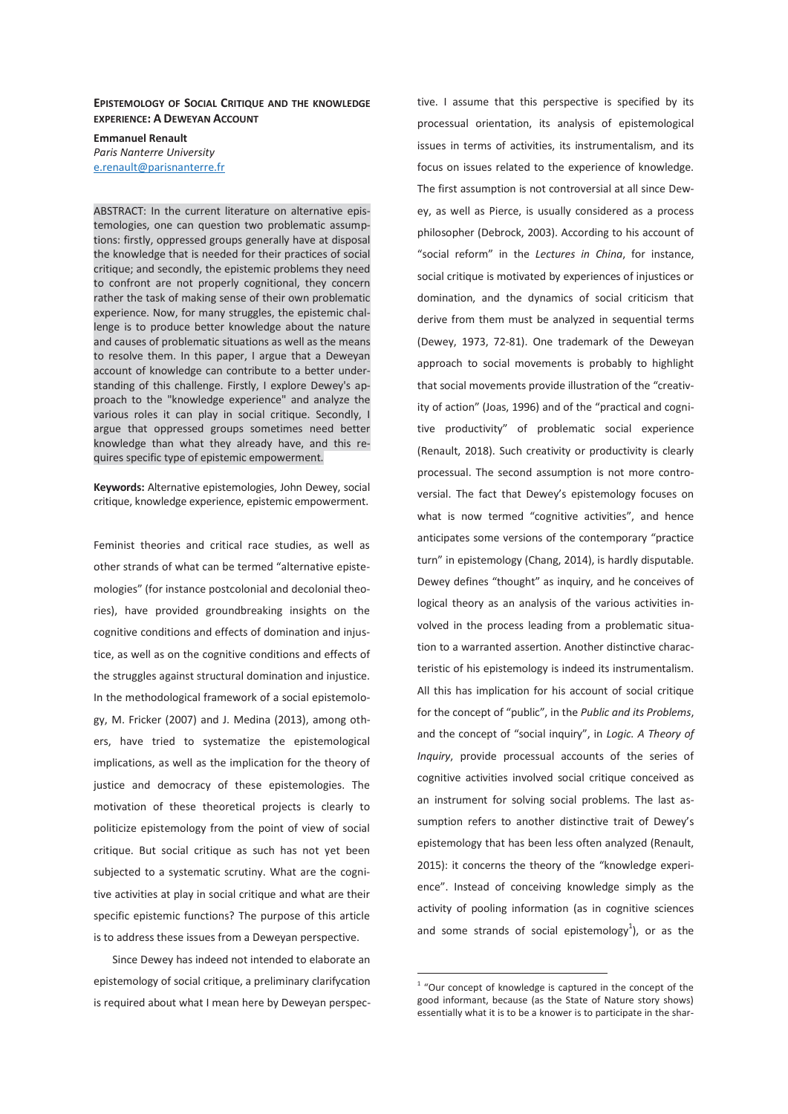## **EPISTEMOLOGY OF SOCIAL CRITIQUE AND THE KNOWLEDGE EXPERIENCE: A DEWEYAN ACCOUNT**

**Emmanuel Renault**  *Paris Nanterre University*  e.renault@parisnanterre.fr

ABSTRACT: In the current literature on alternative epistemologies, one can question two problematic assumptions: firstly, oppressed groups generally have at disposal the knowledge that is needed for their practices of social critique; and secondly, the epistemic problems they need to confront are not properly cognitional, they concern rather the task of making sense of their own problematic experience. Now, for many struggles, the epistemic challenge is to produce better knowledge about the nature and causes of problematic situations as well as the means to resolve them. In this paper, I argue that a Deweyan account of knowledge can contribute to a better understanding of this challenge. Firstly, I explore Dewey's approach to the "knowledge experience" and analyze the various roles it can play in social critique. Secondly, I argue that oppressed groups sometimes need better knowledge than what they already have, and this requires specific type of epistemic empowerment.

**Keywords:** Alternative epistemologies, John Dewey, social critique, knowledge experience, epistemic empowerment.

Feminist theories and critical race studies, as well as other strands of what can be termed "alternative epistemologies" (for instance postcolonial and decolonial theories), have provided groundbreaking insights on the cognitive conditions and effects of domination and injustice, as well as on the cognitive conditions and effects of the struggles against structural domination and injustice. In the methodological framework of a social epistemology, M. Fricker (2007) and J. Medina (2013), among others, have tried to systematize the epistemological implications, as well as the implication for the theory of justice and democracy of these epistemologies. The motivation of these theoretical projects is clearly to politicize epistemology from the point of view of social critique. But social critique as such has not yet been subjected to a systematic scrutiny. What are the cognitive activities at play in social critique and what are their specific epistemic functions? The purpose of this article is to address these issues from a Deweyan perspective.

Since Dewey has indeed not intended to elaborate an epistemology of social critique, a preliminary clarifycation is required about what I mean here by Deweyan perspective. I assume that this perspective is specified by its processual orientation, its analysis of epistemological issues in terms of activities, its instrumentalism, and its focus on issues related to the experience of knowledge. The first assumption is not controversial at all since Dewey, as well as Pierce, is usually considered as a process philosopher (Debrock, 2003). According to his account of "social reform" in the *Lectures in China*, for instance, social critique is motivated by experiences of injustices or domination, and the dynamics of social criticism that derive from them must be analyzed in sequential terms (Dewey, 1973, 72-81). One trademark of the Deweyan approach to social movements is probably to highlight that social movements provide illustration of the "creativity of action" (Joas, 1996) and of the "practical and cognitive productivity" of problematic social experience (Renault, 2018). Such creativity or productivity is clearly processual. The second assumption is not more controversial. The fact that Dewey's epistemology focuses on what is now termed "cognitive activities", and hence anticipates some versions of the contemporary "practice turn" in epistemology (Chang, 2014), is hardly disputable. Dewey defines "thought" as inquiry, and he conceives of logical theory as an analysis of the various activities involved in the process leading from a problematic situation to a warranted assertion. Another distinctive characteristic of his epistemology is indeed its instrumentalism. All this has implication for his account of social critique for the concept of "public", in the *Public and its Problems*, and the concept of "social inquiry", in *Logic. A Theory of Inquiry*, provide processual accounts of the series of cognitive activities involved social critique conceived as an instrument for solving social problems. The last assumption refers to another distinctive trait of Dewey's epistemology that has been less often analyzed (Renault, 2015): it concerns the theory of the "knowledge experience". Instead of conceiving knowledge simply as the activity of pooling information (as in cognitive sciences and some strands of social epistemology $^{1}$ ), or as the

 $\overline{a}$ 

<sup>&</sup>lt;sup>1</sup> "Our concept of knowledge is captured in the concept of the good informant, because (as the State of Nature story shows) essentially what it is to be a knower is to participate in the shar-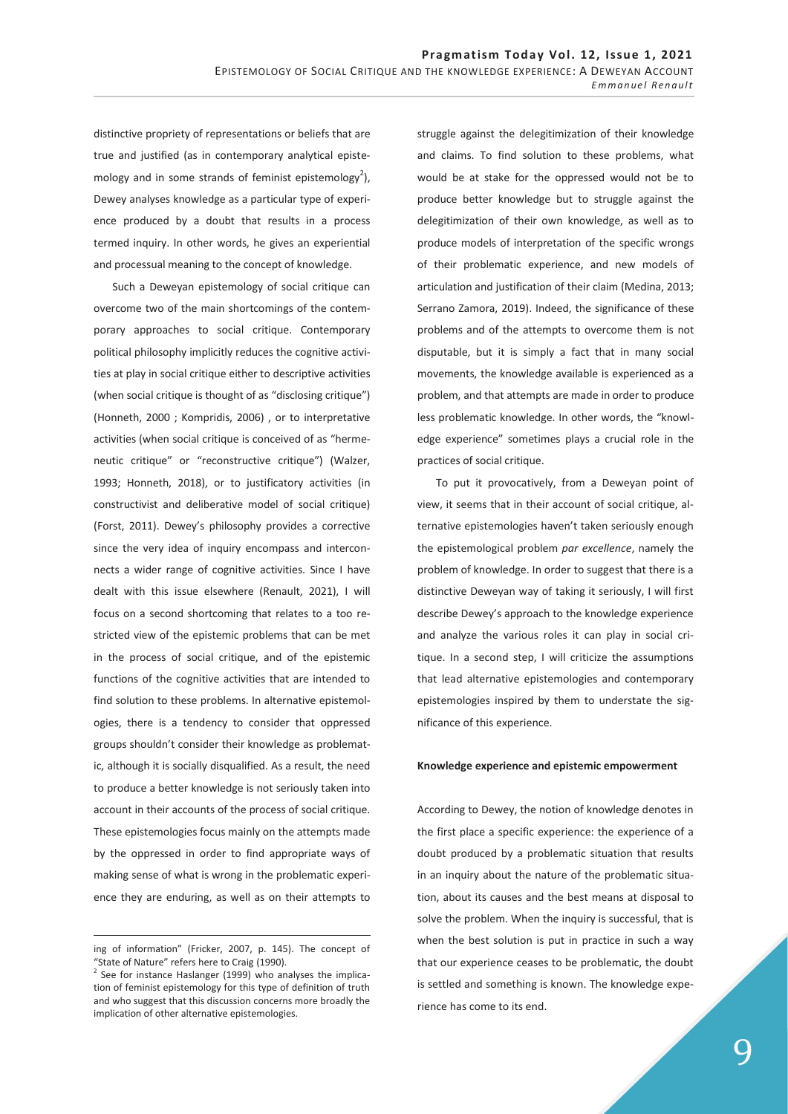distinctive propriety of representations or beliefs that are true and justified (as in contemporary analytical epistemology and in some strands of feminist epistemology<sup>2</sup>), Dewey analyses knowledge as a particular type of experience produced by a doubt that results in a process termed inquiry. In other words, he gives an experiential and processual meaning to the concept of knowledge.

Such a Deweyan epistemology of social critique can overcome two of the main shortcomings of the contemporary approaches to social critique. Contemporary political philosophy implicitly reduces the cognitive activities at play in social critique either to descriptive activities (when social critique is thought of as "disclosing critique") (Honneth, 2000 ; Kompridis, 2006) , or to interpretative activities (when social critique is conceived of as "hermeneutic critique" or "reconstructive critique") (Walzer, 1993; Honneth, 2018), or to justificatory activities (in constructivist and deliberative model of social critique) (Forst, 2011). Dewey's philosophy provides a corrective since the very idea of inquiry encompass and interconnects a wider range of cognitive activities. Since I have dealt with this issue elsewhere (Renault, 2021), I will focus on a second shortcoming that relates to a too restricted view of the epistemic problems that can be met in the process of social critique, and of the epistemic functions of the cognitive activities that are intended to find solution to these problems. In alternative epistemologies, there is a tendency to consider that oppressed groups shouldn't consider their knowledge as problematic, although it is socially disqualified. As a result, the need to produce a better knowledge is not seriously taken into account in their accounts of the process of social critique. These epistemologies focus mainly on the attempts made by the oppressed in order to find appropriate ways of making sense of what is wrong in the problematic experience they are enduring, as well as on their attempts to

 $\overline{a}$ 

struggle against the delegitimization of their knowledge and claims. To find solution to these problems, what would be at stake for the oppressed would not be to produce better knowledge but to struggle against the delegitimization of their own knowledge, as well as to produce models of interpretation of the specific wrongs of their problematic experience, and new models of articulation and justification of their claim (Medina, 2013; Serrano Zamora, 2019). Indeed, the significance of these problems and of the attempts to overcome them is not disputable, but it is simply a fact that in many social movements, the knowledge available is experienced as a problem, and that attempts are made in order to produce less problematic knowledge. In other words, the "knowledge experience" sometimes plays a crucial role in the practices of social critique.

To put it provocatively, from a Deweyan point of view, it seems that in their account of social critique, alternative epistemologies haven't taken seriously enough the epistemological problem *par excellence*, namely the problem of knowledge. In order to suggest that there is a distinctive Deweyan way of taking it seriously, I will first describe Dewey's approach to the knowledge experience and analyze the various roles it can play in social critique. In a second step, I will criticize the assumptions that lead alternative epistemologies and contemporary epistemologies inspired by them to understate the significance of this experience.

## **Knowledge experience and epistemic empowerment**

According to Dewey, the notion of knowledge denotes in the first place a specific experience: the experience of a doubt produced by a problematic situation that results in an inquiry about the nature of the problematic situation, about its causes and the best means at disposal to solve the problem. When the inquiry is successful, that is when the best solution is put in practice in such a way that our experience ceases to be problematic, the doubt is settled and something is known. The knowledge experience has come to its end.

ing of information" (Fricker, 2007, p. 145). The concept of "State of Nature" refers here to Craig (1990).

 $2$  See for instance Haslanger (1999) who analyses the implication of feminist epistemology for this type of definition of truth and who suggest that this discussion concerns more broadly the implication of other alternative epistemologies.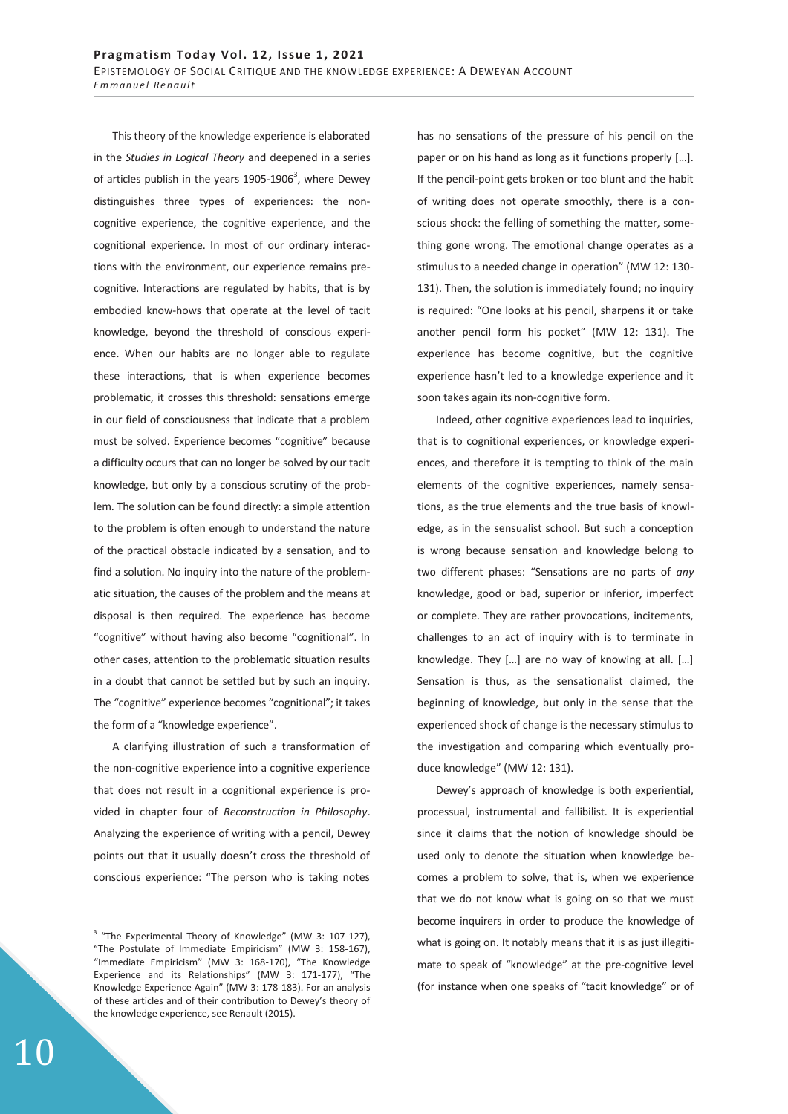This theory of the knowledge experience is elaborated in the *Studies in Logical Theory* and deepened in a series of articles publish in the years  $1905$ - $1906<sup>3</sup>$ , where Dewey distinguishes three types of experiences: the noncognitive experience, the cognitive experience, and the cognitional experience. In most of our ordinary interactions with the environment, our experience remains precognitive. Interactions are regulated by habits, that is by embodied know-hows that operate at the level of tacit knowledge, beyond the threshold of conscious experience. When our habits are no longer able to regulate these interactions, that is when experience becomes problematic, it crosses this threshold: sensations emerge in our field of consciousness that indicate that a problem must be solved. Experience becomes "cognitive" because a difficulty occurs that can no longer be solved by our tacit knowledge, but only by a conscious scrutiny of the problem. The solution can be found directly: a simple attention to the problem is often enough to understand the nature of the practical obstacle indicated by a sensation, and to find a solution. No inquiry into the nature of the problematic situation, the causes of the problem and the means at disposal is then required. The experience has become "cognitive" without having also become "cognitional". In other cases, attention to the problematic situation results in a doubt that cannot be settled but by such an inquiry. The "cognitive" experience becomes "cognitional"; it takes the form of a "knowledge experience".

A clarifying illustration of such a transformation of the non-cognitive experience into a cognitive experience that does not result in a cognitional experience is provided in chapter four of *Reconstruction in Philosophy*. Analyzing the experience of writing with a pencil, Dewey points out that it usually doesn't cross the threshold of conscious experience: "The person who is taking notes

has no sensations of the pressure of his pencil on the paper or on his hand as long as it functions properly […]. If the pencil-point gets broken or too blunt and the habit of writing does not operate smoothly, there is a conscious shock: the felling of something the matter, something gone wrong. The emotional change operates as a stimulus to a needed change in operation" (MW 12: 130- 131). Then, the solution is immediately found; no inquiry is required: "One looks at his pencil, sharpens it or take another pencil form his pocket" (MW 12: 131). The experience has become cognitive, but the cognitive experience hasn't led to a knowledge experience and it soon takes again its non-cognitive form.

Indeed, other cognitive experiences lead to inquiries, that is to cognitional experiences, or knowledge experiences, and therefore it is tempting to think of the main elements of the cognitive experiences, namely sensations, as the true elements and the true basis of knowledge, as in the sensualist school. But such a conception is wrong because sensation and knowledge belong to two different phases: "Sensations are no parts of *any*  knowledge, good or bad, superior or inferior, imperfect or complete. They are rather provocations, incitements, challenges to an act of inquiry with is to terminate in knowledge. They […] are no way of knowing at all. […] Sensation is thus, as the sensationalist claimed, the beginning of knowledge, but only in the sense that the experienced shock of change is the necessary stimulus to the investigation and comparing which eventually produce knowledge" (MW 12: 131).

Dewey's approach of knowledge is both experiential, processual, instrumental and fallibilist. It is experiential since it claims that the notion of knowledge should be used only to denote the situation when knowledge becomes a problem to solve, that is, when we experience that we do not know what is going on so that we must become inquirers in order to produce the knowledge of what is going on. It notably means that it is as just illegitimate to speak of "knowledge" at the pre-cognitive level (for instance when one speaks of "tacit knowledge" or of

 3 "The Experimental Theory of Knowledge" (MW 3: 107-127), "The Postulate of Immediate Empiricism" (MW 3: 158-167), "Immediate Empiricism" (MW 3: 168-170), "The Knowledge Experience and its Relationships" (MW 3: 171-177), "The Knowledge Experience Again" (MW 3: 178-183). For an analysis of these articles and of their contribution to Dewey's theory of the knowledge experience, see Renault (2015).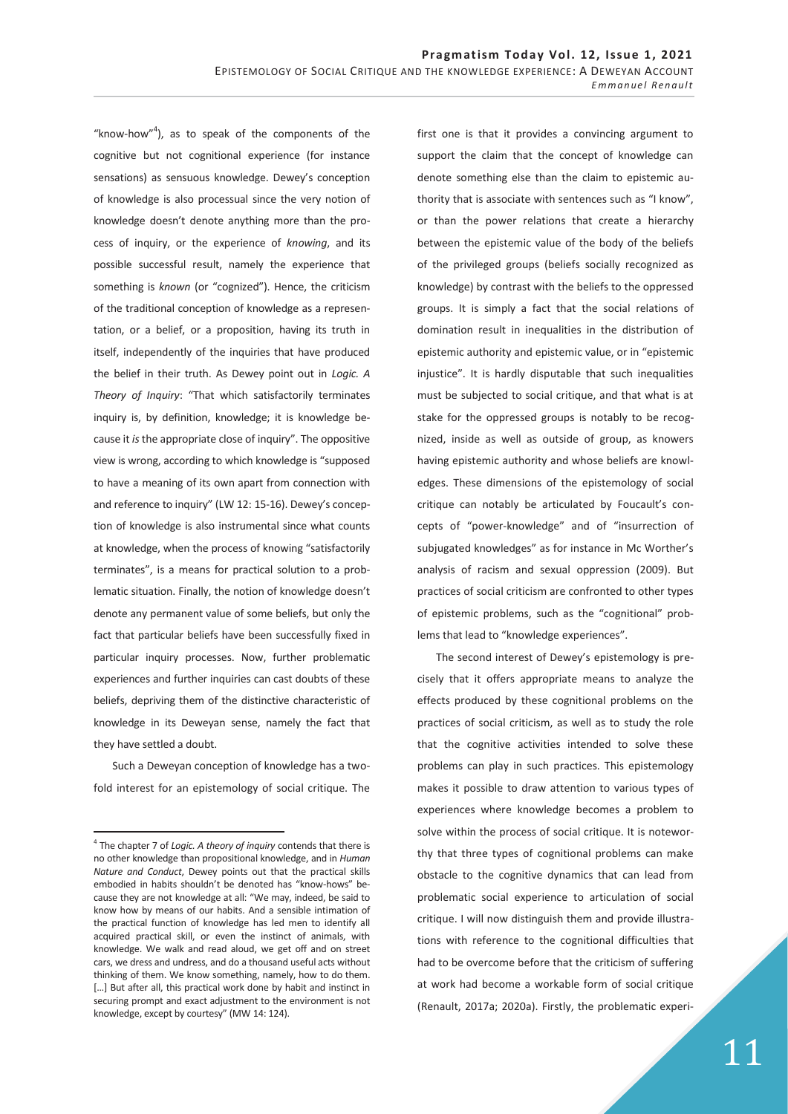"know-how"<sup>4</sup>), as to speak of the components of the cognitive but not cognitional experience (for instance sensations) as sensuous knowledge. Dewey's conception of knowledge is also processual since the very notion of knowledge doesn't denote anything more than the process of inquiry, or the experience of *knowing*, and its possible successful result, namely the experience that something is *known* (or "cognized"). Hence, the criticism of the traditional conception of knowledge as a representation, or a belief, or a proposition, having its truth in itself, independently of the inquiries that have produced the belief in their truth. As Dewey point out in *Logic. A Theory of Inquiry*: "That which satisfactorily terminates inquiry is, by definition, knowledge; it is knowledge because it *is* the appropriate close of inquiry". The oppositive view is wrong, according to which knowledge is "supposed to have a meaning of its own apart from connection with and reference to inquiry" (LW 12: 15-16). Dewey's conception of knowledge is also instrumental since what counts at knowledge, when the process of knowing "satisfactorily terminates", is a means for practical solution to a problematic situation. Finally, the notion of knowledge doesn't denote any permanent value of some beliefs, but only the fact that particular beliefs have been successfully fixed in particular inquiry processes. Now, further problematic experiences and further inquiries can cast doubts of these beliefs, depriving them of the distinctive characteristic of knowledge in its Deweyan sense, namely the fact that they have settled a doubt.

Such a Deweyan conception of knowledge has a twofold interest for an epistemology of social critique. The

-

first one is that it provides a convincing argument to support the claim that the concept of knowledge can denote something else than the claim to epistemic authority that is associate with sentences such as "I know", or than the power relations that create a hierarchy between the epistemic value of the body of the beliefs of the privileged groups (beliefs socially recognized as knowledge) by contrast with the beliefs to the oppressed groups. It is simply a fact that the social relations of domination result in inequalities in the distribution of epistemic authority and epistemic value, or in "epistemic injustice". It is hardly disputable that such inequalities must be subjected to social critique, and that what is at stake for the oppressed groups is notably to be recognized, inside as well as outside of group, as knowers having epistemic authority and whose beliefs are knowledges. These dimensions of the epistemology of social critique can notably be articulated by Foucault's concepts of "power-knowledge" and of "insurrection of subjugated knowledges" as for instance in Mc Worther's analysis of racism and sexual oppression (2009). But practices of social criticism are confronted to other types of epistemic problems, such as the "cognitional" problems that lead to "knowledge experiences".

The second interest of Dewey's epistemology is precisely that it offers appropriate means to analyze the effects produced by these cognitional problems on the practices of social criticism, as well as to study the role that the cognitive activities intended to solve these problems can play in such practices. This epistemology makes it possible to draw attention to various types of experiences where knowledge becomes a problem to solve within the process of social critique. It is noteworthy that three types of cognitional problems can make obstacle to the cognitive dynamics that can lead from problematic social experience to articulation of social critique. I will now distinguish them and provide illustrations with reference to the cognitional difficulties that had to be overcome before that the criticism of suffering at work had become a workable form of social critique (Renault, 2017a; 2020a). Firstly, the problematic experi-

<sup>4</sup> The chapter 7 of *Logic. A theory of inquiry* contends that there is no other knowledge than propositional knowledge, and in *Human Nature and Conduct*, Dewey points out that the practical skills embodied in habits shouldn't be denoted has "know-hows" because they are not knowledge at all: "We may, indeed, be said to know how by means of our habits. And a sensible intimation of the practical function of knowledge has led men to identify all acquired practical skill, or even the instinct of animals, with knowledge. We walk and read aloud, we get off and on street cars, we dress and undress, and do a thousand useful acts without thinking of them. We know something, namely, how to do them. [...] But after all, this practical work done by habit and instinct in securing prompt and exact adjustment to the environment is not knowledge, except by courtesy" (MW 14: 124).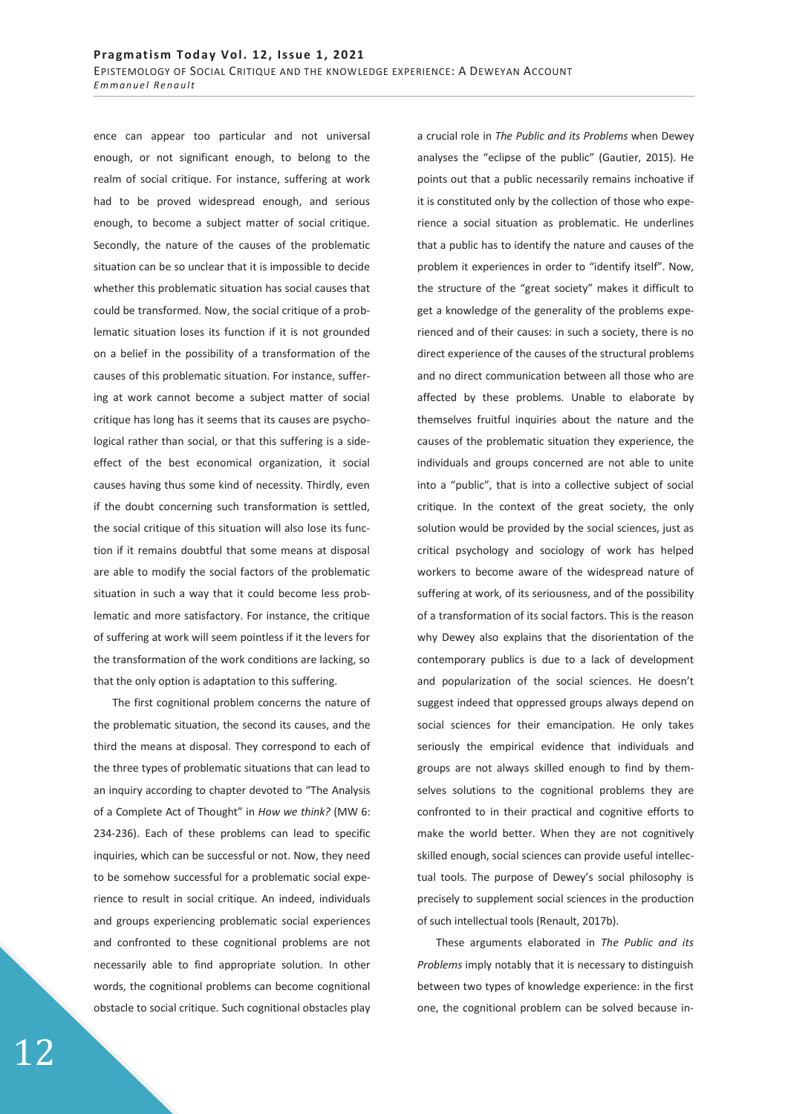ence can appear too particular and not universal enough, or not significant enough, to belong to the realm of social critique. For instance, suffering at work had to be proved widespread enough, and serious enough, to become a subject matter of social critique. Secondly, the nature of the causes of the problematic situation can be so unclear that it is impossible to decide whether this problematic situation has social causes that could be transformed. Now, the social critique of a problematic situation loses its function if it is not grounded on a belief in the possibility of a transformation of the causes of this problematic situation. For instance, suffering at work cannot become a subject matter of social critique has long has it seems that its causes are psychological rather than social, or that this suffering is a sideeffect of the best economical organization, it social causes having thus some kind of necessity. Thirdly, even if the doubt concerning such transformation is settled, the social critique of this situation will also lose its function if it remains doubtful that some means at disposal are able to modify the social factors of the problematic situation in such a way that it could become less problematic and more satisfactory. For instance, the critique of suffering at work will seem pointless if it the levers for the transformation of the work conditions are lacking, so that the only option is adaptation to this suffering.

The first cognitional problem concerns the nature of the problematic situation, the second its causes, and the third the means at disposal. They correspond to each of the three types of problematic situations that can lead to an inquiry according to chapter devoted to "The Analysis of a Complete Act of Thought" in *How we think?* (MW 6: 234-236). Each of these problems can lead to specific inquiries, which can be successful or not. Now, they need to be somehow successful for a problematic social experience to result in social critique. An indeed, individuals and groups experiencing problematic social experiences and confronted to these cognitional problems are not necessarily able to find appropriate solution. In other words, the cognitional problems can become cognitional obstacle to social critique. Such cognitional obstacles play

a crucial role in *The Public and its Problems* when Dewey analyses the "eclipse of the public" (Gautier, 2015). He points out that a public necessarily remains inchoative if it is constituted only by the collection of those who experience a social situation as problematic. He underlines that a public has to identify the nature and causes of the problem it experiences in order to "identify itself". Now, the structure of the "great society" makes it difficult to get a knowledge of the generality of the problems experienced and of their causes: in such a society, there is no direct experience of the causes of the structural problems and no direct communication between all those who are affected by these problems. Unable to elaborate by themselves fruitful inquiries about the nature and the causes of the problematic situation they experience, the individuals and groups concerned are not able to unite into a "public", that is into a collective subject of social critique. In the context of the great society, the only solution would be provided by the social sciences, just as critical psychology and sociology of work has helped workers to become aware of the widespread nature of suffering at work, of its seriousness, and of the possibility of a transformation of its social factors. This is the reason why Dewey also explains that the disorientation of the contemporary publics is due to a lack of development and popularization of the social sciences. He doesn't suggest indeed that oppressed groups always depend on social sciences for their emancipation. He only takes seriously the empirical evidence that individuals and groups are not always skilled enough to find by themselves solutions to the cognitional problems they are confronted to in their practical and cognitive efforts to make the world better. When they are not cognitively skilled enough, social sciences can provide useful intellectual tools. The purpose of Dewey's social philosophy is precisely to supplement social sciences in the production of such intellectual tools (Renault, 2017b).

These arguments elaborated in *The Public and its Problems* imply notably that it is necessary to distinguish between two types of knowledge experience: in the first one, the cognitional problem can be solved because in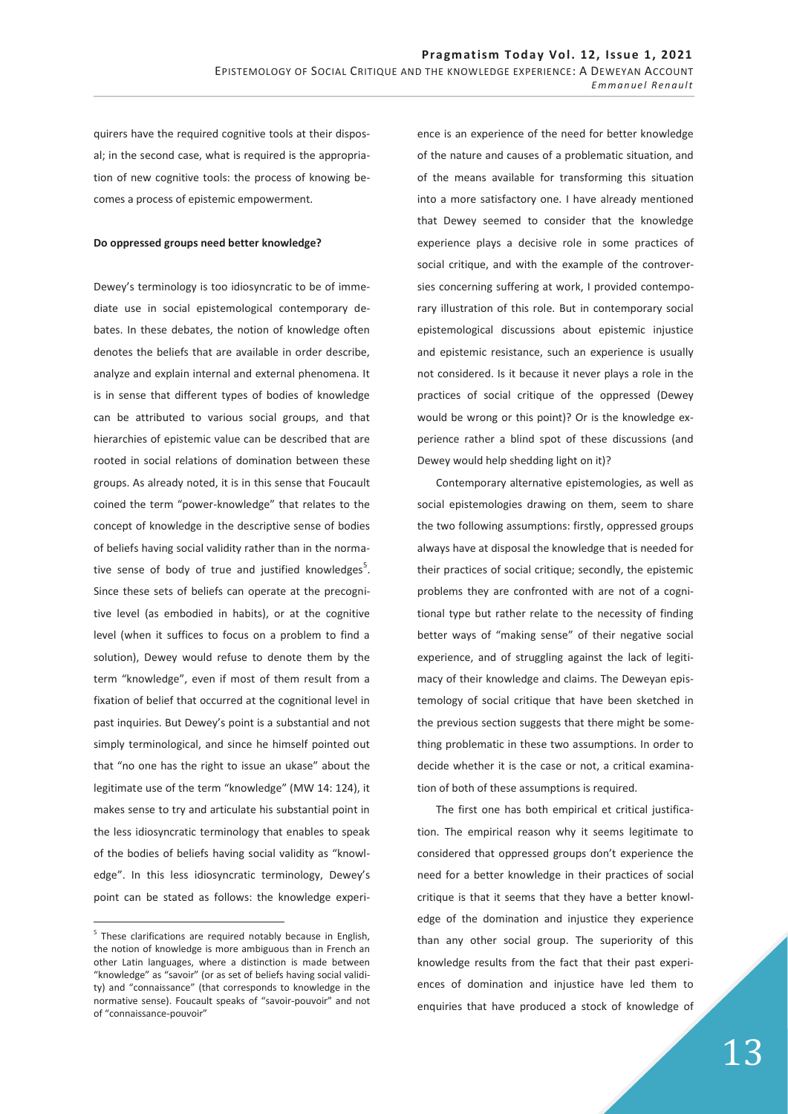quirers have the required cognitive tools at their disposal; in the second case, what is required is the appropriation of new cognitive tools: the process of knowing becomes a process of epistemic empowerment.

## **Do oppressed groups need better knowledge?**

Dewey's terminology is too idiosyncratic to be of immediate use in social epistemological contemporary debates. In these debates, the notion of knowledge often denotes the beliefs that are available in order describe, analyze and explain internal and external phenomena. It is in sense that different types of bodies of knowledge can be attributed to various social groups, and that hierarchies of epistemic value can be described that are rooted in social relations of domination between these groups. As already noted, it is in this sense that Foucault coined the term "power-knowledge" that relates to the concept of knowledge in the descriptive sense of bodies of beliefs having social validity rather than in the normative sense of body of true and justified knowledges<sup>5</sup>. Since these sets of beliefs can operate at the precognitive level (as embodied in habits), or at the cognitive level (when it suffices to focus on a problem to find a solution), Dewey would refuse to denote them by the term "knowledge", even if most of them result from a fixation of belief that occurred at the cognitional level in past inquiries. But Dewey's point is a substantial and not simply terminological, and since he himself pointed out that "no one has the right to issue an ukase" about the legitimate use of the term "knowledge" (MW 14: 124), it makes sense to try and articulate his substantial point in the less idiosyncratic terminology that enables to speak of the bodies of beliefs having social validity as "knowledge". In this less idiosyncratic terminology, Dewey's point can be stated as follows: the knowledge experience is an experience of the need for better knowledge of the nature and causes of a problematic situation, and of the means available for transforming this situation into a more satisfactory one. I have already mentioned that Dewey seemed to consider that the knowledge experience plays a decisive role in some practices of social critique, and with the example of the controversies concerning suffering at work, I provided contemporary illustration of this role. But in contemporary social epistemological discussions about epistemic injustice and epistemic resistance, such an experience is usually not considered. Is it because it never plays a role in the practices of social critique of the oppressed (Dewey would be wrong or this point)? Or is the knowledge experience rather a blind spot of these discussions (and Dewey would help shedding light on it)?

Contemporary alternative epistemologies, as well as social epistemologies drawing on them, seem to share the two following assumptions: firstly, oppressed groups always have at disposal the knowledge that is needed for their practices of social critique; secondly, the epistemic problems they are confronted with are not of a cognitional type but rather relate to the necessity of finding better ways of "making sense" of their negative social experience, and of struggling against the lack of legitimacy of their knowledge and claims. The Deweyan epistemology of social critique that have been sketched in the previous section suggests that there might be something problematic in these two assumptions. In order to decide whether it is the case or not, a critical examination of both of these assumptions is required.

The first one has both empirical et critical justification. The empirical reason why it seems legitimate to considered that oppressed groups don't experience the need for a better knowledge in their practices of social critique is that it seems that they have a better knowledge of the domination and injustice they experience than any other social group. The superiority of this knowledge results from the fact that their past experiences of domination and injustice have led them to enquiries that have produced a stock of knowledge of

 5 These clarifications are required notably because in English, the notion of knowledge is more ambiguous than in French an other Latin languages, where a distinction is made between "knowledge" as "savoir" (or as set of beliefs having social validity) and "connaissance" (that corresponds to knowledge in the normative sense). Foucault speaks of "savoir-pouvoir" and not of "connaissance-pouvoir"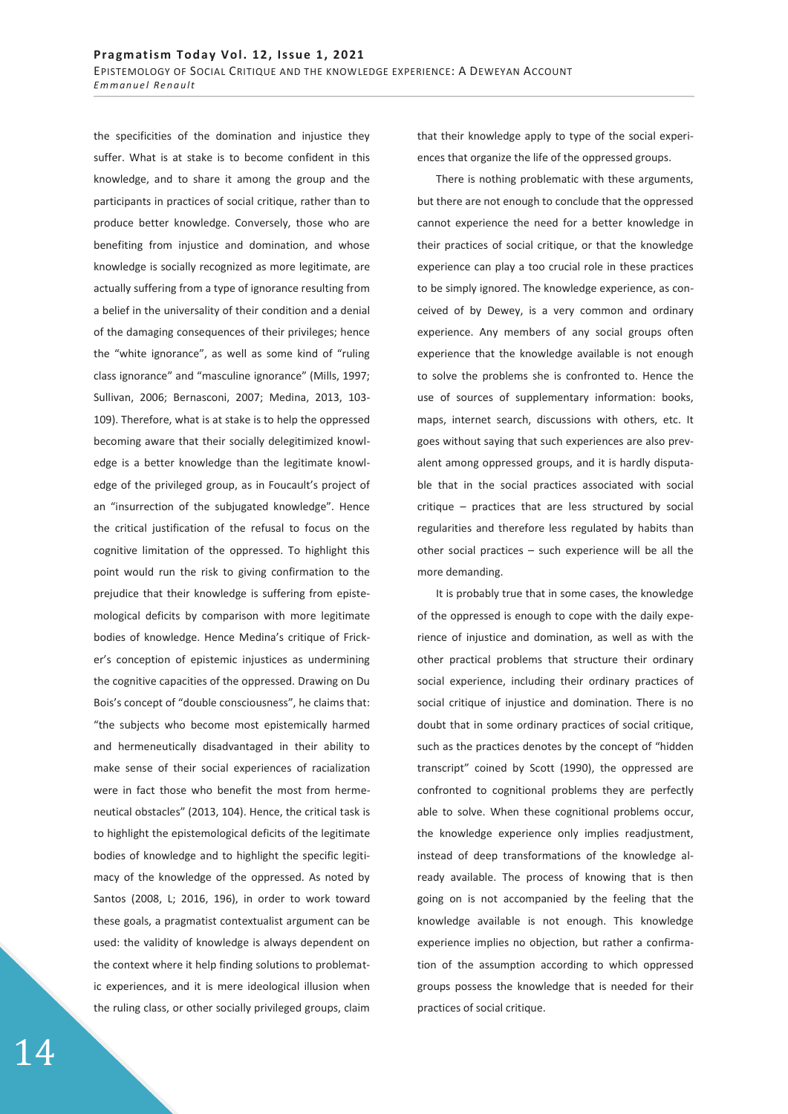the specificities of the domination and injustice they suffer. What is at stake is to become confident in this knowledge, and to share it among the group and the participants in practices of social critique, rather than to produce better knowledge. Conversely, those who are benefiting from injustice and domination, and whose knowledge is socially recognized as more legitimate, are actually suffering from a type of ignorance resulting from a belief in the universality of their condition and a denial of the damaging consequences of their privileges; hence the "white ignorance", as well as some kind of "ruling class ignorance" and "masculine ignorance" (Mills, 1997; Sullivan, 2006; Bernasconi, 2007; Medina, 2013, 103- 109). Therefore, what is at stake is to help the oppressed becoming aware that their socially delegitimized knowledge is a better knowledge than the legitimate knowledge of the privileged group, as in Foucault's project of an "insurrection of the subjugated knowledge". Hence the critical justification of the refusal to focus on the cognitive limitation of the oppressed. To highlight this point would run the risk to giving confirmation to the prejudice that their knowledge is suffering from epistemological deficits by comparison with more legitimate bodies of knowledge. Hence Medina's critique of Fricker's conception of epistemic injustices as undermining the cognitive capacities of the oppressed. Drawing on Du Bois's concept of "double consciousness", he claims that: "the subjects who become most epistemically harmed and hermeneutically disadvantaged in their ability to make sense of their social experiences of racialization were in fact those who benefit the most from hermeneutical obstacles" (2013, 104). Hence, the critical task is to highlight the epistemological deficits of the legitimate bodies of knowledge and to highlight the specific legitimacy of the knowledge of the oppressed. As noted by Santos (2008, L; 2016, 196), in order to work toward these goals, a pragmatist contextualist argument can be used: the validity of knowledge is always dependent on the context where it help finding solutions to problematic experiences, and it is mere ideological illusion when the ruling class, or other socially privileged groups, claim

that their knowledge apply to type of the social experiences that organize the life of the oppressed groups.

There is nothing problematic with these arguments, but there are not enough to conclude that the oppressed cannot experience the need for a better knowledge in their practices of social critique, or that the knowledge experience can play a too crucial role in these practices to be simply ignored. The knowledge experience, as conceived of by Dewey, is a very common and ordinary experience. Any members of any social groups often experience that the knowledge available is not enough to solve the problems she is confronted to. Hence the use of sources of supplementary information: books, maps, internet search, discussions with others, etc. It goes without saying that such experiences are also prevalent among oppressed groups, and it is hardly disputable that in the social practices associated with social critique – practices that are less structured by social regularities and therefore less regulated by habits than other social practices – such experience will be all the more demanding.

It is probably true that in some cases, the knowledge of the oppressed is enough to cope with the daily experience of injustice and domination, as well as with the other practical problems that structure their ordinary social experience, including their ordinary practices of social critique of injustice and domination. There is no doubt that in some ordinary practices of social critique, such as the practices denotes by the concept of "hidden transcript" coined by Scott (1990), the oppressed are confronted to cognitional problems they are perfectly able to solve. When these cognitional problems occur, the knowledge experience only implies readjustment, instead of deep transformations of the knowledge already available. The process of knowing that is then going on is not accompanied by the feeling that the knowledge available is not enough. This knowledge experience implies no objection, but rather a confirmation of the assumption according to which oppressed groups possess the knowledge that is needed for their practices of social critique.

14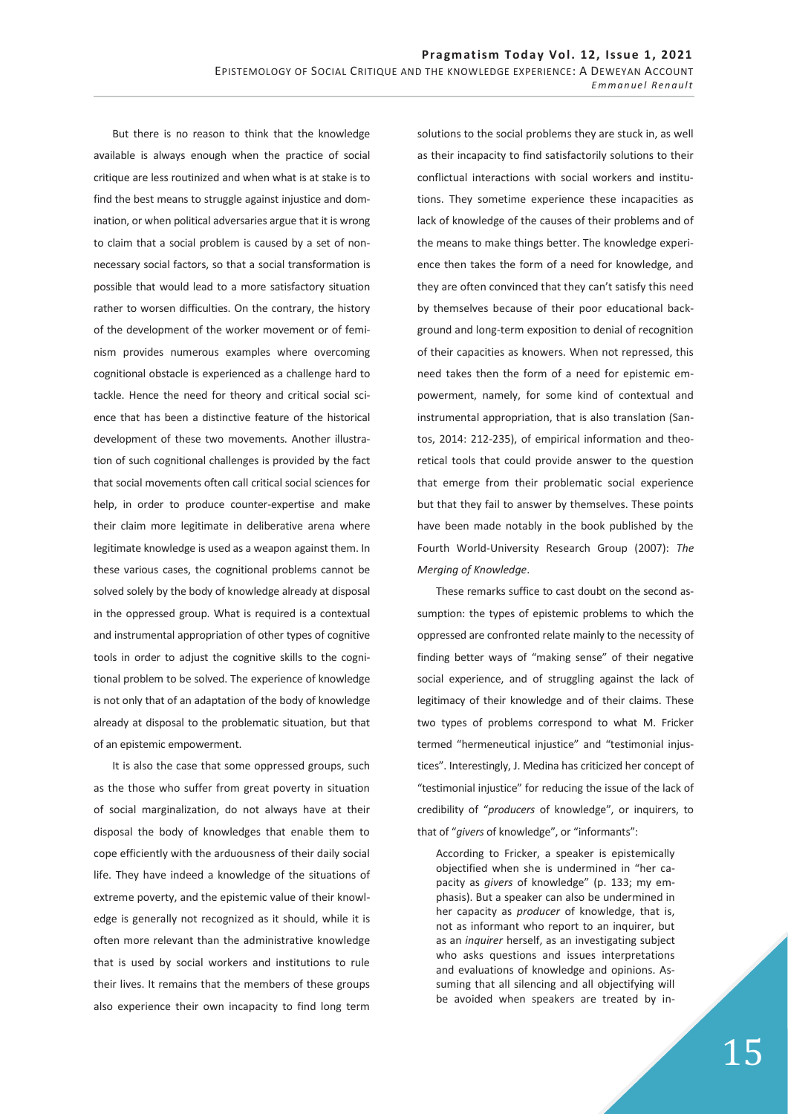But there is no reason to think that the knowledge available is always enough when the practice of social critique are less routinized and when what is at stake is to find the best means to struggle against injustice and domination, or when political adversaries argue that it is wrong to claim that a social problem is caused by a set of nonnecessary social factors, so that a social transformation is possible that would lead to a more satisfactory situation rather to worsen difficulties. On the contrary, the history of the development of the worker movement or of feminism provides numerous examples where overcoming cognitional obstacle is experienced as a challenge hard to tackle. Hence the need for theory and critical social science that has been a distinctive feature of the historical development of these two movements. Another illustration of such cognitional challenges is provided by the fact that social movements often call critical social sciences for help, in order to produce counter-expertise and make their claim more legitimate in deliberative arena where legitimate knowledge is used as a weapon against them. In these various cases, the cognitional problems cannot be solved solely by the body of knowledge already at disposal in the oppressed group. What is required is a contextual and instrumental appropriation of other types of cognitive tools in order to adjust the cognitive skills to the cognitional problem to be solved. The experience of knowledge is not only that of an adaptation of the body of knowledge already at disposal to the problematic situation, but that of an epistemic empowerment.

It is also the case that some oppressed groups, such as the those who suffer from great poverty in situation of social marginalization, do not always have at their disposal the body of knowledges that enable them to cope efficiently with the arduousness of their daily social life. They have indeed a knowledge of the situations of extreme poverty, and the epistemic value of their knowledge is generally not recognized as it should, while it is often more relevant than the administrative knowledge that is used by social workers and institutions to rule their lives. It remains that the members of these groups also experience their own incapacity to find long term

solutions to the social problems they are stuck in, as well as their incapacity to find satisfactorily solutions to their conflictual interactions with social workers and institutions. They sometime experience these incapacities as lack of knowledge of the causes of their problems and of the means to make things better. The knowledge experience then takes the form of a need for knowledge, and they are often convinced that they can't satisfy this need by themselves because of their poor educational background and long-term exposition to denial of recognition of their capacities as knowers. When not repressed, this need takes then the form of a need for epistemic empowerment, namely, for some kind of contextual and instrumental appropriation, that is also translation (Santos, 2014: 212-235), of empirical information and theoretical tools that could provide answer to the question that emerge from their problematic social experience but that they fail to answer by themselves. These points have been made notably in the book published by the Fourth World-University Research Group (2007): *The Merging of Knowledge*.

These remarks suffice to cast doubt on the second assumption: the types of epistemic problems to which the oppressed are confronted relate mainly to the necessity of finding better ways of "making sense" of their negative social experience, and of struggling against the lack of legitimacy of their knowledge and of their claims. These two types of problems correspond to what M. Fricker termed "hermeneutical injustice" and "testimonial injustices". Interestingly, J. Medina has criticized her concept of "testimonial injustice" for reducing the issue of the lack of credibility of "*producers* of knowledge", or inquirers, to that of "*givers* of knowledge", or "informants":

According to Fricker, a speaker is epistemically objectified when she is undermined in "her capacity as *givers* of knowledge" (p. 133; my emphasis). But a speaker can also be undermined in her capacity as *producer* of knowledge, that is, not as informant who report to an inquirer, but as an *inquirer* herself, as an investigating subject who asks questions and issues interpretations and evaluations of knowledge and opinions. Assuming that all silencing and all objectifying will be avoided when speakers are treated by in-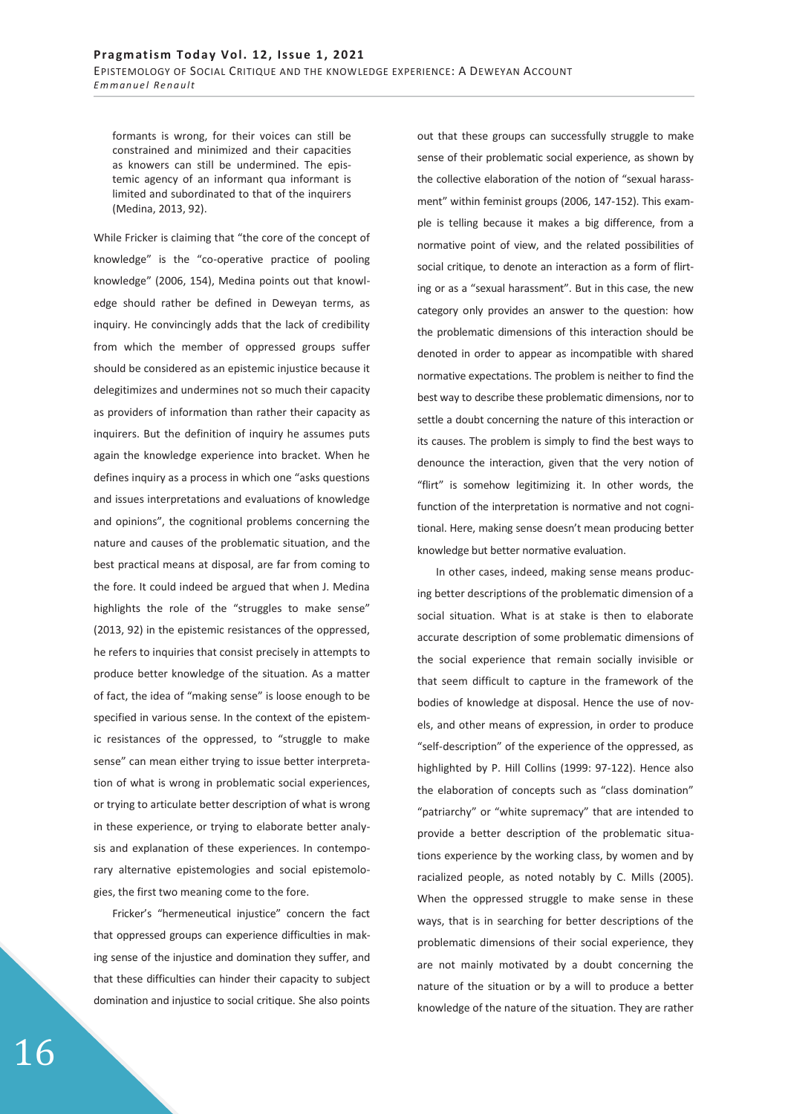formants is wrong, for their voices can still be constrained and minimized and their capacities as knowers can still be undermined. The epistemic agency of an informant qua informant is limited and subordinated to that of the inquirers (Medina, 2013, 92).

While Fricker is claiming that "the core of the concept of knowledge" is the "co-operative practice of pooling knowledge" (2006, 154), Medina points out that knowledge should rather be defined in Deweyan terms, as inquiry. He convincingly adds that the lack of credibility from which the member of oppressed groups suffer should be considered as an epistemic injustice because it delegitimizes and undermines not so much their capacity as providers of information than rather their capacity as inquirers. But the definition of inquiry he assumes puts again the knowledge experience into bracket. When he defines inquiry as a process in which one "asks questions and issues interpretations and evaluations of knowledge and opinions", the cognitional problems concerning the nature and causes of the problematic situation, and the best practical means at disposal, are far from coming to the fore. It could indeed be argued that when J. Medina highlights the role of the "struggles to make sense" (2013, 92) in the epistemic resistances of the oppressed, he refers to inquiries that consist precisely in attempts to produce better knowledge of the situation. As a matter of fact, the idea of "making sense" is loose enough to be specified in various sense. In the context of the epistemic resistances of the oppressed, to "struggle to make sense" can mean either trying to issue better interpretation of what is wrong in problematic social experiences, or trying to articulate better description of what is wrong in these experience, or trying to elaborate better analysis and explanation of these experiences. In contemporary alternative epistemologies and social epistemologies, the first two meaning come to the fore.

Fricker's "hermeneutical injustice" concern the fact that oppressed groups can experience difficulties in making sense of the injustice and domination they suffer, and that these difficulties can hinder their capacity to subject domination and injustice to social critique. She also points

out that these groups can successfully struggle to make sense of their problematic social experience, as shown by the collective elaboration of the notion of "sexual harassment" within feminist groups (2006, 147-152). This example is telling because it makes a big difference, from a normative point of view, and the related possibilities of social critique, to denote an interaction as a form of flirting or as a "sexual harassment". But in this case, the new category only provides an answer to the question: how the problematic dimensions of this interaction should be denoted in order to appear as incompatible with shared normative expectations. The problem is neither to find the best way to describe these problematic dimensions, nor to settle a doubt concerning the nature of this interaction or its causes. The problem is simply to find the best ways to denounce the interaction, given that the very notion of "flirt" is somehow legitimizing it. In other words, the function of the interpretation is normative and not cognitional. Here, making sense doesn't mean producing better knowledge but better normative evaluation.

In other cases, indeed, making sense means producing better descriptions of the problematic dimension of a social situation. What is at stake is then to elaborate accurate description of some problematic dimensions of the social experience that remain socially invisible or that seem difficult to capture in the framework of the bodies of knowledge at disposal. Hence the use of novels, and other means of expression, in order to produce "self-description" of the experience of the oppressed, as highlighted by P. Hill Collins (1999: 97-122). Hence also the elaboration of concepts such as "class domination" "patriarchy" or "white supremacy" that are intended to provide a better description of the problematic situations experience by the working class, by women and by racialized people, as noted notably by C. Mills (2005). When the oppressed struggle to make sense in these ways, that is in searching for better descriptions of the problematic dimensions of their social experience, they are not mainly motivated by a doubt concerning the nature of the situation or by a will to produce a better knowledge of the nature of the situation. They are rather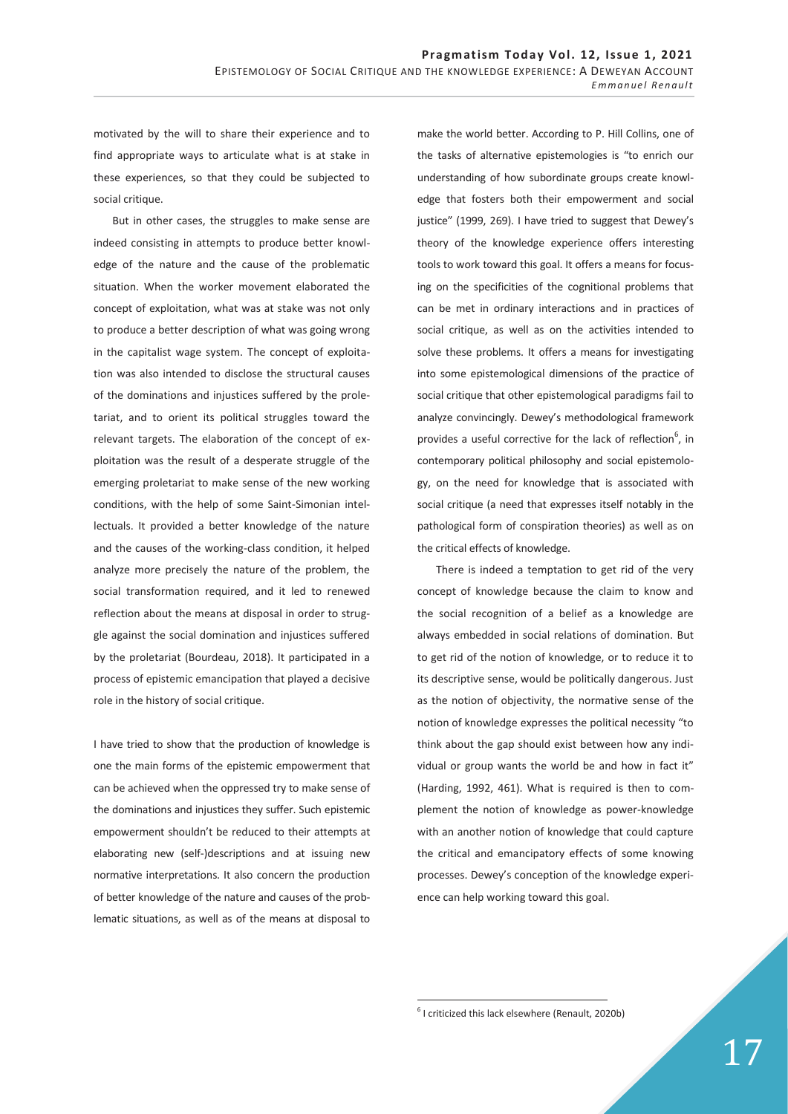motivated by the will to share their experience and to find appropriate ways to articulate what is at stake in these experiences, so that they could be subjected to social critique.

But in other cases, the struggles to make sense are indeed consisting in attempts to produce better knowledge of the nature and the cause of the problematic situation. When the worker movement elaborated the concept of exploitation, what was at stake was not only to produce a better description of what was going wrong in the capitalist wage system. The concept of exploitation was also intended to disclose the structural causes of the dominations and injustices suffered by the proletariat, and to orient its political struggles toward the relevant targets. The elaboration of the concept of exploitation was the result of a desperate struggle of the emerging proletariat to make sense of the new working conditions, with the help of some Saint-Simonian intellectuals. It provided a better knowledge of the nature and the causes of the working-class condition, it helped analyze more precisely the nature of the problem, the social transformation required, and it led to renewed reflection about the means at disposal in order to struggle against the social domination and injustices suffered by the proletariat (Bourdeau, 2018). It participated in a process of epistemic emancipation that played a decisive role in the history of social critique.

I have tried to show that the production of knowledge is one the main forms of the epistemic empowerment that can be achieved when the oppressed try to make sense of the dominations and injustices they suffer. Such epistemic empowerment shouldn't be reduced to their attempts at elaborating new (self-)descriptions and at issuing new normative interpretations. It also concern the production of better knowledge of the nature and causes of the problematic situations, as well as of the means at disposal to

make the world better. According to P. Hill Collins, one of the tasks of alternative epistemologies is "to enrich our understanding of how subordinate groups create knowledge that fosters both their empowerment and social justice" (1999, 269). I have tried to suggest that Dewey's theory of the knowledge experience offers interesting tools to work toward this goal. It offers a means for focusing on the specificities of the cognitional problems that can be met in ordinary interactions and in practices of social critique, as well as on the activities intended to solve these problems. It offers a means for investigating into some epistemological dimensions of the practice of social critique that other epistemological paradigms fail to analyze convincingly. Dewey's methodological framework provides a useful corrective for the lack of reflection<sup>6</sup>, in contemporary political philosophy and social epistemology, on the need for knowledge that is associated with social critique (a need that expresses itself notably in the pathological form of conspiration theories) as well as on the critical effects of knowledge.

There is indeed a temptation to get rid of the very concept of knowledge because the claim to know and the social recognition of a belief as a knowledge are always embedded in social relations of domination. But to get rid of the notion of knowledge, or to reduce it to its descriptive sense, would be politically dangerous. Just as the notion of objectivity, the normative sense of the notion of knowledge expresses the political necessity "to think about the gap should exist between how any individual or group wants the world be and how in fact it" (Harding, 1992, 461). What is required is then to complement the notion of knowledge as power-knowledge with an another notion of knowledge that could capture the critical and emancipatory effects of some knowing processes. Dewey's conception of the knowledge experience can help working toward this goal.

-

<sup>6</sup> I criticized this lack elsewhere (Renault, 2020b)